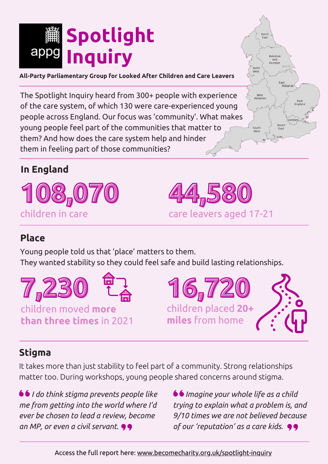

**All-Party Parliamentary Group for Looked After Children and Care Leavers**

The Spotlight Inquiry heard from 300+ people with experience of the care system, of which 130 were care-experienced young people across England. Our focus was 'community'. What makes young people feel part of the communities that matter to them? And how does the care system help and hinder them in feeling part of those communities?

## **In England**





# **Place**

Young people told us that 'place' matters to them. They wanted stability so they could feel safe and build lasting relationships.



**16,720** children placed **20+ miles** from home



Yorkshire

East<br>Midland:

South

I ondon<sup>2</sup>

North<br>West

West<br>Midlands

South

# **Stigma**

It takes more than just stability to feel part of a community. Strong relationships matter too. During workshops, young people shared concerns around stigma.

 *I do think stigma prevents people like me from getting into the world where I'd ever be chosen to lead a review, become an MP, or even a civil servant.*

 *Imagine your whole life as a child trying to explain what a problem is, and 9/10 times we are not believed because of our 'reputation' as a care kids.*